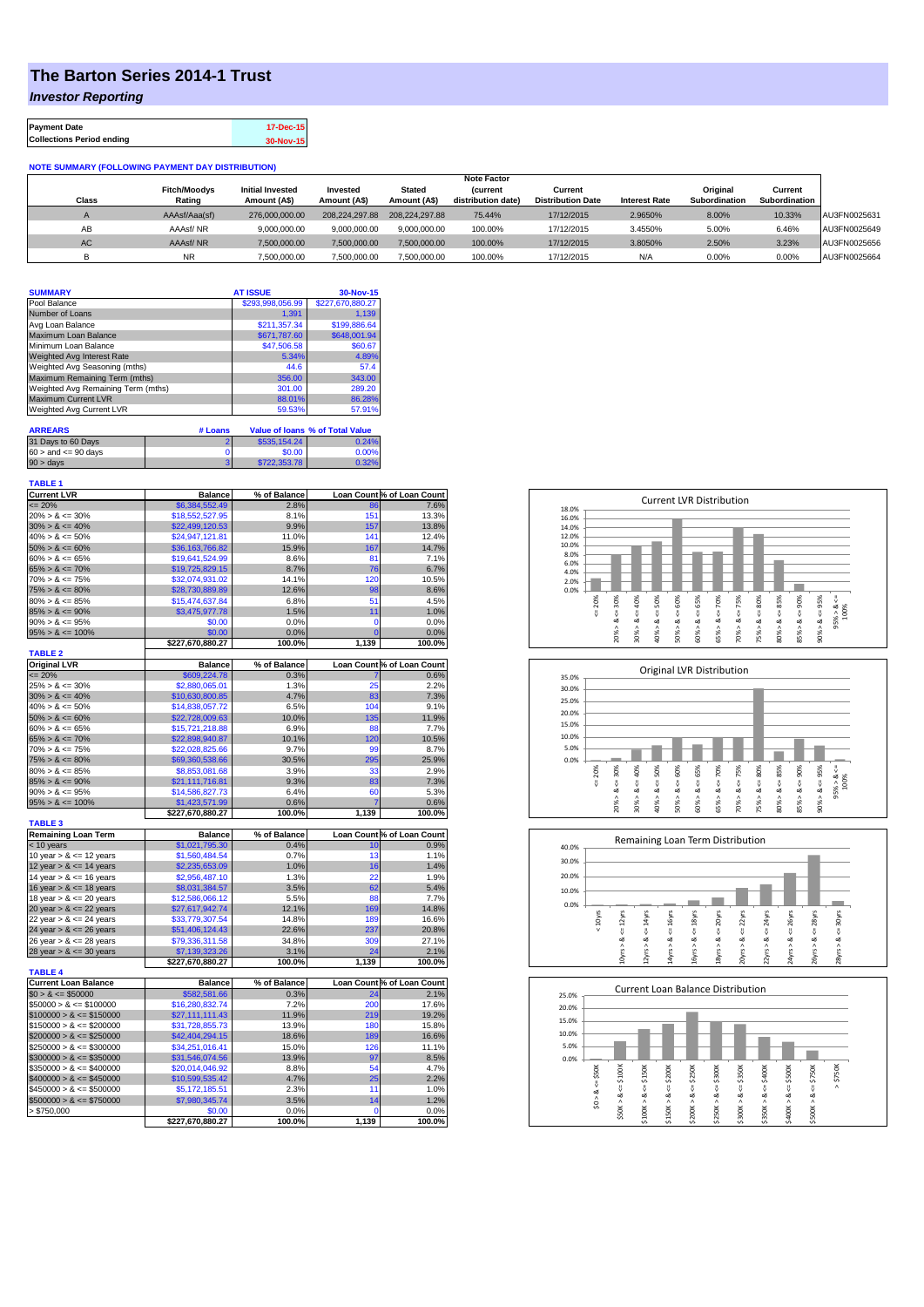## **The Barton Series 2014-1 Trust**

*Investor Reporting*

| <b>Payment Date</b>              | 17-Dec-15 |
|----------------------------------|-----------|
| <b>Collections Period ending</b> | 30-Nov-15 |

## **NOTE SUMMARY (FOLLOWING PAYMENT DAY DISTRIBUTION)**

|              |                     |                         |                |                | <b>Note Factor</b> |                          |                      |               |               |              |
|--------------|---------------------|-------------------------|----------------|----------------|--------------------|--------------------------|----------------------|---------------|---------------|--------------|
|              | <b>Fitch/Moodys</b> | <b>Initial Invested</b> | Invested       | Stated         | <b>Current</b>     | Current                  |                      | Original      | Current       |              |
| <b>Class</b> | Rating              | Amount (A\$)            | Amount (A\$)   | Amount (A\$)   | distribution date) | <b>Distribution Date</b> | <b>Interest Rate</b> | Subordination | Subordination |              |
|              | AAAsf/Aaa(sf)       | 276,000,000,00          | 208.224.297.88 | 208.224.297.88 | 75.44%             | 17/12/2015               | 2.9650%              | 8.00%         | 10.33%        | AU3FN0025631 |
| AB           | AAAsf/NR            | 9,000,000.00            | 9.000.000.00   | 9.000.000.00   | 100.00%            | 17/12/2015               | 3.4550%              | 5.00%         | 6.46%         | AU3FN0025649 |
| AC.          | AAAsf/NR            | 7,500,000.00            | 7.500.000.00   | 7.500.000.00   | 100.00%            | 17/12/2015               | 3.8050%              | 2.50%         | 3.23%         | AU3FN0025656 |
|              | <b>NR</b>           | ,500,000.00             | 7.500.000.00   | 7,500,000.00   | 100.00%            | 17/12/2015               | N/A                  | 0.00%         | 0.00%         | AU3FN0025664 |

| <b>SUMMARY</b>                     |         | <b>AT ISSUE</b>  | 30-Nov-15                              |
|------------------------------------|---------|------------------|----------------------------------------|
| Pool Balance                       |         | \$293,998,056.99 | \$227,670,880.27                       |
| Number of Loans                    |         | 1.391            | 1.139                                  |
| Avg Loan Balance                   |         | \$211.357.34     | \$199,886.64                           |
| Maximum Loan Balance               |         | \$671,787.60     | \$648,001.94                           |
| Minimum Loan Balance               |         | \$47,506.58      | \$60.67                                |
| <b>Weighted Avg Interest Rate</b>  |         | 5.34%            | 4.89%                                  |
| Weighted Avg Seasoning (mths)      |         | 44.6             | 57.4                                   |
| Maximum Remaining Term (mths)      |         | 356.00           | 343.00                                 |
| Weighted Avg Remaining Term (mths) |         | 301.00           | 289.20                                 |
| <b>Maximum Current LVR</b>         |         | 88.01%           | 86.28%                                 |
| Weighted Avg Current LVR           |         | 59.53%           | 57.91%                                 |
| <b>ARREARS</b>                     | # Loans |                  | <b>Value of loans % of Total Value</b> |

| 31 Days to 60 Days        | \$535,154.24 | 0.24% |
|---------------------------|--------------|-------|
| $60 >$ and $\leq 90$ days | \$0.00       | 0.00% |
| $90 > \text{days}$        | \$722,353.78 | 0.32% |

| <b>TABLE 1</b>                                           |                                    |                |                |                            |
|----------------------------------------------------------|------------------------------------|----------------|----------------|----------------------------|
| <b>Current LVR</b>                                       | <b>Balance</b>                     | % of Balance   |                | Loan Count % of Loan Count |
| $= 20%$                                                  | \$6.384.552.49                     | 2.8%           | 86             | 7.6%                       |
| $20\% > 8 \le 30\%$                                      | \$18,552,527.95                    | 8.1%           | 151            | 13.3%                      |
| $30\% > 8 \le 40\%$                                      | \$22,499,120.53                    | 9.9%           | 157            | 13.8%                      |
| $40\% > 8 \le 50\%$                                      | \$24,947,121.81                    | 11.0%          | 141            | 12.4%                      |
| $50\% > 8 \le 60\%$                                      | \$36,163,766.82                    | 15.9%          | 167            | 14.7%                      |
| $60\% > 8 \le 65\%$                                      | \$19,641,524.99                    | 8.6%           | 81             | 7.1%                       |
| $65\% > 8 \le 70\%$                                      | \$19,725,829.15                    | 8.7%           | 76             | 6.7%                       |
| $70\% > 8 \le 75\%$                                      | \$32,074,931.02                    | 14.1%          | 120            | 10.5%                      |
| $75\% > 8 \le 80\%$                                      | \$28,730,889.89                    | 12.6%          | 98             | 8.6%                       |
| $80\% > 8 \le 85\%$                                      | \$15,474,637.84                    | 6.8%           | 51             | 4.5%                       |
| $85\% > 8 \le 90\%$                                      | \$3,475,977.78                     | 1.5%           | 11             | 1.0%                       |
| $90\% > 8 \le 95\%$                                      | \$0.00                             | 0.0%           | $\mathbf 0$    | 0.0%                       |
| $95\% > 8 \le 100\%$                                     | \$0.00                             | 0.0%           | $\overline{0}$ | 0.0%                       |
|                                                          | \$227,670,880.27                   | 100.0%         | 1,139          | 100.0%                     |
| <b>TABLE 2</b>                                           |                                    |                |                |                            |
| <b>Original LVR</b>                                      | <b>Balance</b>                     | % of Balance   |                | Loan Count % of Loan Count |
| $= 20%$                                                  | \$609,224.78                       | 0.3%           |                | 0.6%                       |
| $25\% > 8 \le 30\%$                                      | \$2,880,065.01                     | 1.3%           | 25             | 2.2%                       |
| $30\% > 8 \le 40\%$                                      | \$10,630,800.85                    | 4.7%           | 83             | 7.3%                       |
| $40\% > 8 \le 50\%$                                      | \$14,838,057.72                    | 6.5%           | 104            | 9.1%                       |
| $50\% > 8 \le 60\%$                                      | \$22,728,009.63                    | 10.0%          | 135            | 11.9%                      |
| $60\% > 8 \le 65\%$                                      | \$15,721,218.88                    | 6.9%           | 88             | 7.7%                       |
| $65\% > 8 \le 70\%$                                      | \$22,898,940.87                    | 10.1%          | 120            | 10.5%                      |
| $70\% > 8 \le 75\%$                                      | \$22,028,825.66                    | 9.7%           | 99             | 8.7%                       |
| $75\% > 8 \le 80\%$                                      | \$69,360,538.66                    | 30.5%          | 295            | 25.9%                      |
| $80\% > 8 \le 85\%$                                      | \$8,853,081.68                     | 3.9%           | 33             | 2.9%                       |
| $85\% > 8 \le 90\%$                                      | \$21,111,716.81                    | 9.3%           | 83             | 7.3%                       |
| $90\% > 8 \le 95\%$                                      | \$14,586,827.73                    | 6.4%           | 60             | 5.3%                       |
| $95\% > 8 \le 100\%$                                     | \$1,423,571.99                     | 0.6%           | 7              | 0.6%                       |
|                                                          | \$227,670,880.27                   | 100.0%         | 1,139          | 100.0%                     |
| <b>TABLE 3</b>                                           |                                    |                |                |                            |
| <b>Remaining Loan Term</b>                               | <b>Balance</b>                     | % of Balance   |                | Loan Count % of Loan Count |
| < 10 years                                               | \$1,021,795.30                     | 0.4%           | 10             | 0.9%                       |
| 10 year $> 8 \le 12$ years                               | \$1,560,484.54                     | 0.7%           | 13             | 1.1%                       |
| 12 year $> 8 \le 14$ years                               | \$2,235,653.09                     | 1.0%           | 16             | 1.4%                       |
| 14 year $> 8 \le 16$ years                               | \$2,956,487.10                     | 1.3%           | 22             | 1.9%                       |
| 16 year $> 8 \le 18$ years                               | \$8,031,384.57                     | 3.5%           | 62             | 5.4%                       |
| 18 year $> 8 \le 20$ years                               | \$12,586,066.12                    | 5.5%           | 88             | 7.7%                       |
| 20 year $> 8 \le 22$ years                               | \$27,617,942.74                    | 12.1%          | 169            | 14.8%                      |
| 22 year $> 8 \le 24$ years                               | \$33,779,307.54                    | 14.8%          | 189            | 16.6%                      |
| 24 year $> 8 \le 26$ years                               | \$51,406,124.43                    | 22.6%          | 237            | 20.8%                      |
| 26 year $> 8 \le 28$ years                               | \$79,336,311.58                    | 34.8%          | 309            | 27.1%                      |
| 28 year $> 8 \le 30$ years                               | \$7,139,323.26                     | 3.1%           | 24             | 2.1%                       |
| <b>TABLE 4</b>                                           | \$227,670,880.27                   | 100.0%         | 1,139          | 100.0%                     |
| <b>Current Loan Balance</b>                              | <b>Balance</b>                     | % of Balance   |                | Loan Count % of Loan Count |
| $$0 > 8 \le $50000$                                      | \$582,581.66                       | 0.3%           | 24             | 2.1%                       |
| $$50000 > 8 \le $100000$                                 | \$16,280,832.74                    | 7.2%           | 200            | 17.6%                      |
| $$100000 > 8 \leq $150000$                               | \$27,111,111.43                    | 11.9%          | 219            | 19.2%                      |
| $$150000 > 8 \leq $200000$                               | \$31,728,855.73                    | 13.9%          | 180            | 15.8%                      |
| $$200000 > 8 \leq $250000$                               | \$42,404,294.15                    | 18.6%          | 189            | 16.6%                      |
| $$250000 > 8 \leq $300000$                               | \$34,251,016.41                    | 15.0%          | 126            |                            |
|                                                          |                                    |                | 97             | 11.1%<br>8.5%              |
| $$300000 > 8 \leq $350000$<br>$$350000 > 8 \leq $400000$ | \$31,546,074.56<br>\$20,014,046.92 | 13.9%<br>8.8%  | 54             | 4.7%                       |
|                                                          |                                    |                | 25             |                            |
| $$400000 > 8 \leq $450000$                               | \$10,599,535.42                    | 4.7%           | 11             | 2.2%                       |
| $$450000 > 8 \le $500000$                                | \$5,172,185.51                     | 2.3%           |                | 1.0%                       |
| $$500000 > 8 \leq $750000$                               | \$7,980,345.74                     | 3.5%           | 14             | 1.2%                       |
| > \$750,000                                              | \$0.00<br>\$227,670,880.27         | 0.0%<br>100.0% | 0<br>1,139     | 0.0%<br>100.0%             |
|                                                          |                                    |                |                |                            |